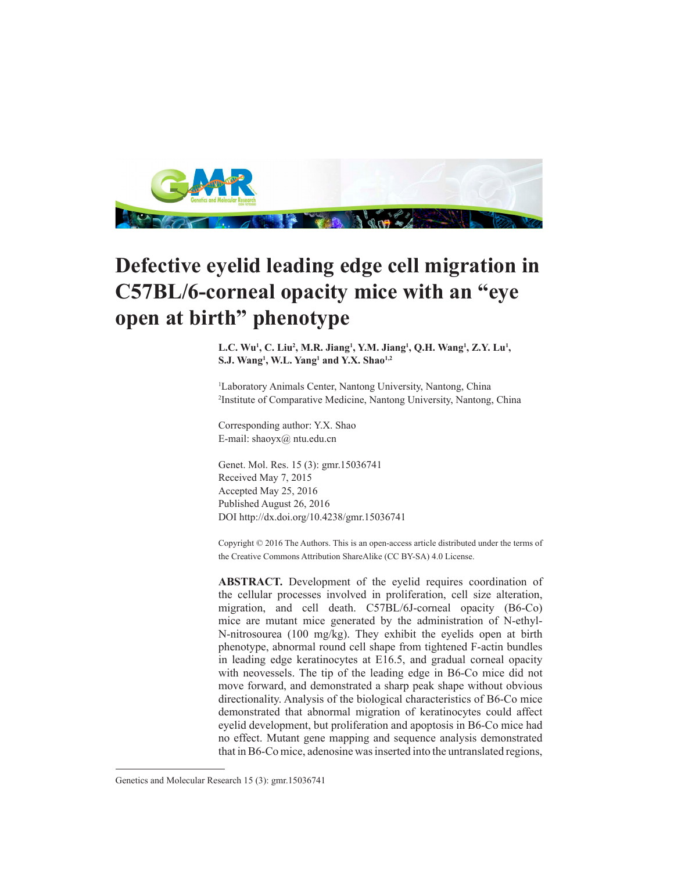

## **Defective eyelid leading edge cell migration in C57BL/6-corneal opacity mice with an "eye open at birth" phenotype**

L.C. Wu<sup>1</sup>, C. Liu<sup>2</sup>, M.R. Jiang<sup>1</sup>, Y.M. Jiang<sup>1</sup>, Q.H. Wang<sup>1</sup>, Z.Y. Lu<sup>1</sup>, **S.J. Wang1 , W.L. Yang1 and Y.X. Shao1,2**

1 Laboratory Animals Center, Nantong University, Nantong, China 2 Institute of Comparative Medicine, Nantong University, Nantong, China

Corresponding author: Y.X. Shao E-mail: shaoyx@ ntu.edu.cn

Genet. Mol. Res. 15 (3): gmr.15036741 Received May 7, 2015 Accepted May 25, 2016 Published August 26, 2016 DOI http://dx.doi.org/10.4238/gmr.15036741

Copyright © 2016 The Authors. This is an open-access article distributed under the terms of the Creative Commons Attribution ShareAlike (CC BY-SA) 4.0 License.

**ABSTRACT.** Development of the eyelid requires coordination of the cellular processes involved in proliferation, cell size alteration, migration, and cell death. C57BL/6J-corneal opacity (B6-Co) mice are mutant mice generated by the administration of N-ethyl-N-nitrosourea (100 mg/kg). They exhibit the eyelids open at birth phenotype, abnormal round cell shape from tightened F-actin bundles in leading edge keratinocytes at E16.5, and gradual corneal opacity with neovessels. The tip of the leading edge in B6-Co mice did not move forward, and demonstrated a sharp peak shape without obvious directionality. Analysis of the biological characteristics of B6-Co mice demonstrated that abnormal migration of keratinocytes could affect eyelid development, but proliferation and apoptosis in B6-Co mice had no effect. Mutant gene mapping and sequence analysis demonstrated that in B6-Co mice, adenosine was inserted into the untranslated regions,

Genetics and Molecular Research 15 (3): gmr.15036741